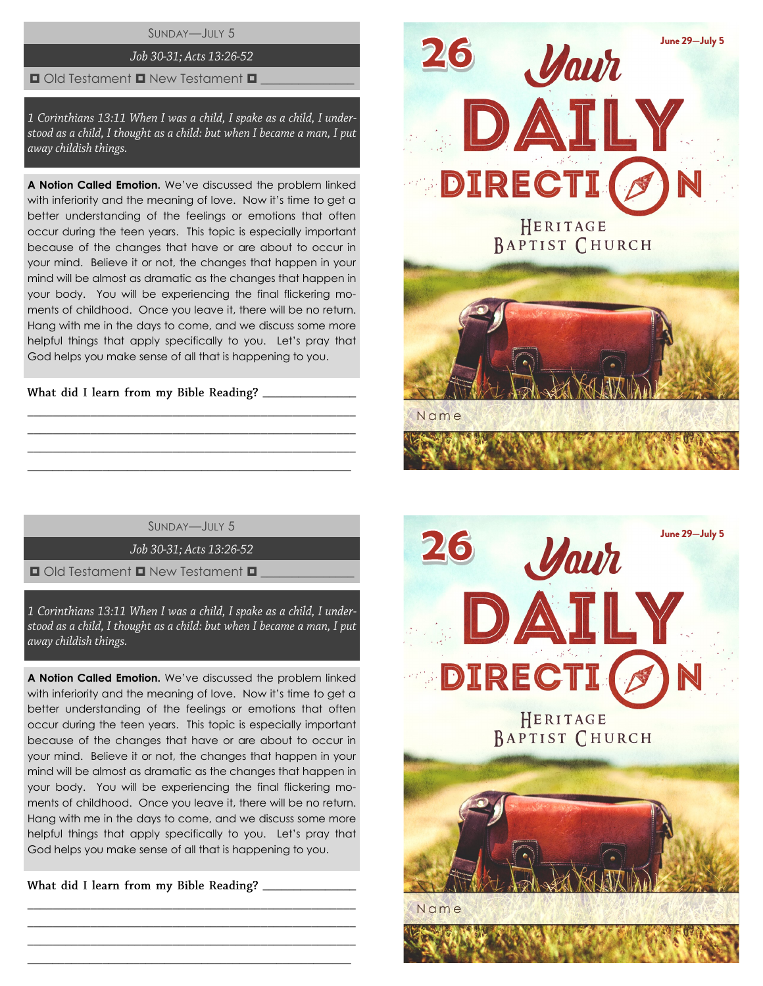SUNDAY—JULY 5

# Job 30-31; Acts 13:26-52

#### $\Box$  Old Testament  $\Box$  New Testament  $\Box$

1 Corinthians 13:11 When I was a child, I spake as a child, I understood as a child, I thought as a child: but when I became a man, I put away childish things.

**A Notion Called Emotion.** We've discussed the problem linked with inferiority and the meaning of love. Now it's time to get a better understanding of the feelings or emotions that often occur during the teen years. This topic is especially important because of the changes that have or are about to occur in your mind. Believe it or not, the changes that happen in your mind will be almost as dramatic as the changes that happen in your body. You will be experiencing the final flickering moments of childhood. Once you leave it, there will be no return. Hang with me in the days to come, and we discuss some more helpful things that apply specifically to you. Let's pray that God helps you make sense of all that is happening to you.

What did I learn from my Bible Reading?

SUNDAY—JULY 5

\_\_\_\_\_\_\_\_\_\_\_\_\_\_\_\_\_\_\_\_\_\_\_\_\_\_\_\_\_\_\_\_\_\_\_\_\_\_\_\_\_\_\_\_\_\_\_\_\_\_\_\_ \_\_\_\_\_\_\_\_\_\_\_\_\_\_\_\_\_\_\_\_\_\_\_\_\_\_\_\_\_\_\_\_\_\_\_\_\_\_\_\_\_\_\_\_\_\_\_\_\_\_\_\_ \_\_\_\_\_\_\_\_\_\_\_\_\_\_\_\_\_\_\_\_\_\_\_\_\_\_\_\_\_\_\_\_\_\_\_\_\_\_\_\_\_\_\_\_\_\_\_\_\_\_\_\_  $\_$  , and the set of the set of the set of the set of the set of the set of the set of the set of the set of the set of the set of the set of the set of the set of the set of the set of the set of the set of the set of th

Job 30-31; Acts 13:26-52

 $\Box$  Old Testament  $\Box$  New Testament  $\Box$ 

1 Corinthians 13:11 When I was a child, I spake as a child, I understood as a child, I thought as a child: but when I became a man, I put away childish things.

**A Notion Called Emotion.** We've discussed the problem linked with inferiority and the meaning of love. Now it's time to get a better understanding of the feelings or emotions that often occur during the teen years. This topic is especially important because of the changes that have or are about to occur in your mind. Believe it or not, the changes that happen in your mind will be almost as dramatic as the changes that happen in your body. You will be experiencing the final flickering moments of childhood. Once you leave it, there will be no return. Hang with me in the days to come, and we discuss some more helpful things that apply specifically to you. Let's pray that God helps you make sense of all that is happening to you.

\_\_\_\_\_\_\_\_\_\_\_\_\_\_\_\_\_\_\_\_\_\_\_\_\_\_\_\_\_\_\_\_\_\_\_\_\_\_\_\_\_\_\_\_\_\_\_\_\_\_\_\_ \_\_\_\_\_\_\_\_\_\_\_\_\_\_\_\_\_\_\_\_\_\_\_\_\_\_\_\_\_\_\_\_\_\_\_\_\_\_\_\_\_\_\_\_\_\_\_\_\_\_\_\_ \_\_\_\_\_\_\_\_\_\_\_\_\_\_\_\_\_\_\_\_\_\_\_\_\_\_\_\_\_\_\_\_\_\_\_\_\_\_\_\_\_\_\_\_\_\_\_\_\_\_\_\_  $\_$  , and the set of the set of the set of the set of the set of the set of the set of the set of the set of the set of the set of the set of the set of the set of the set of the set of the set of the set of the set of th

What did I learn from my Bible Reading?



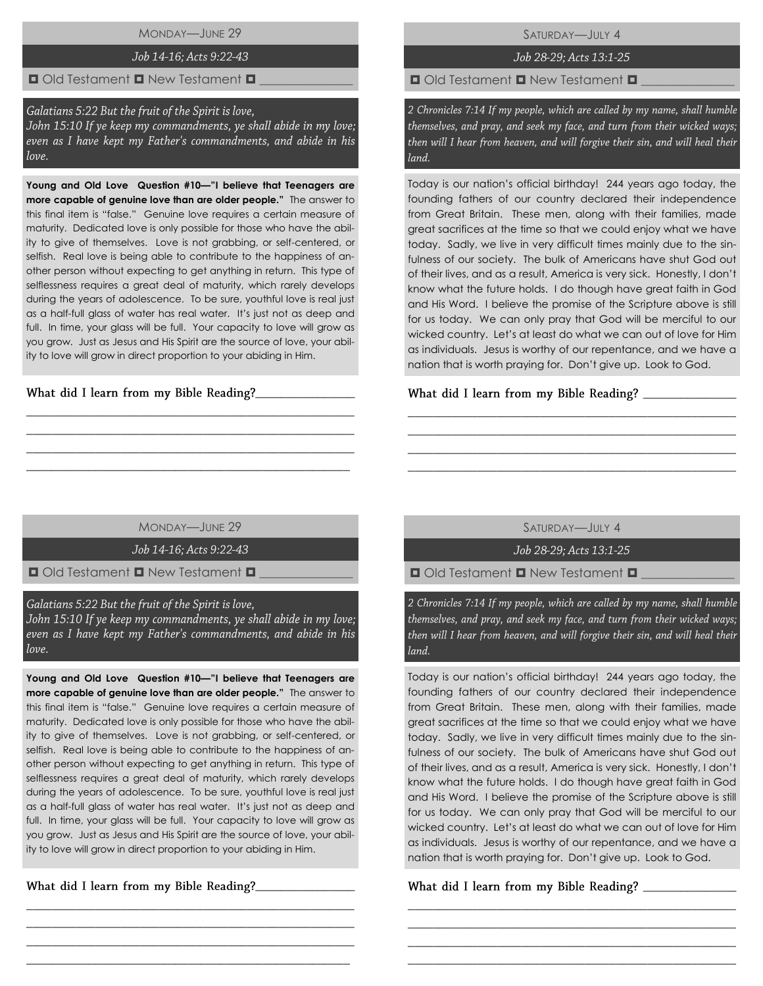MONDAY—JUNE 29

# Job 14-16; Acts 9:22-43

### $\Box$  Old Testament  $\Box$  New Testament  $\Box$

#### Galatians 5:22 But the fruit of the Spirit is love,

John 15:10 If ye keep my commandments, ye shall abide in my love; even as I have kept my Father's commandments, and abide in his love.

**Young and Old Love Question #10—"I believe that Teenagers are more capable of genuine love than are older people."** The answer to this final item is "false." Genuine love requires a certain measure of maturity. Dedicated love is only possible for those who have the ability to give of themselves. Love is not grabbing, or self-centered, or selfish. Real love is being able to contribute to the happiness of another person without expecting to get anything in return. This type of selflessness requires a great deal of maturity, which rarely develops during the years of adolescence. To be sure, youthful love is real just as a half-full glass of water has real water. It's just not as deep and full. In time, your glass will be full. Your capacity to love will grow as you grow. Just as Jesus and His Spirit are the source of love, your ability to love will grow in direct proportion to your abiding in Him.

### What did I learn from my Bible Reading?\_\_

SATURDAY—JULY 4

Job 28-29; Acts 13:1-25

 $\Box$  Old Testament  $\Box$  New Testament  $\Box$ 

2 Chronicles 7:14 If my people, which are called by my name, shall humble themselves, and pray, and seek my face, and turn from their wicked ways; then will I hear from heaven, and will forgive their sin, and will heal their  $land$ 

Today is our nation's official birthday! 244 years ago today, the founding fathers of our country declared their independence from Great Britain. These men, along with their families, made great sacrifices at the time so that we could enjoy what we have today. Sadly, we live in very difficult times mainly due to the sinfulness of our society. The bulk of Americans have shut God out of their lives, and as a result, America is very sick. Honestly, I don't know what the future holds. I do though have great faith in God and His Word. I believe the promise of the Scripture above is still for us today. We can only pray that God will be merciful to our wicked country. Let's at least do what we can out of love for Him as individuals. Jesus is worthy of our repentance, and we have a nation that is worth praying for. Don't give up. Look to God.

#### What did I learn from my Bible Reading? \_\_\_\_

### MONDAY—JUNE 29

\_\_\_\_\_\_\_\_\_\_\_\_\_\_\_\_\_\_\_\_\_\_\_\_\_\_\_\_\_\_\_\_\_\_\_\_\_\_\_\_\_\_\_\_\_\_\_\_\_\_\_\_ \_\_\_\_\_\_\_\_\_\_\_\_\_\_\_\_\_\_\_\_\_\_\_\_\_\_\_\_\_\_\_\_\_\_\_\_\_\_\_\_\_\_\_\_\_\_\_\_\_\_\_\_ \_\_\_\_\_\_\_\_\_\_\_\_\_\_\_\_\_\_\_\_\_\_\_\_\_\_\_\_\_\_\_\_\_\_\_\_\_\_\_\_\_\_\_\_\_\_\_\_\_\_\_\_ \_\_\_\_\_\_\_\_\_\_\_\_\_\_\_\_\_\_\_\_\_\_\_\_\_\_\_\_\_\_\_\_\_\_\_\_\_\_\_\_\_\_\_\_\_\_\_\_\_\_\_\_

# Job 14-16; Acts 9:22-43

 $\Box$  Old Testament  $\Box$  New Testament  $\Box$ 

#### Galatians 5:22 But the fruit of the Spirit is love,

John 15:10 If ye keep my commandments, ye shall abide in my love; even as I have kept my Father's commandments, and abide in his love.

**Young and Old Love Question #10—"I believe that Teenagers are more capable of genuine love than are older people."** The answer to this final item is "false." Genuine love requires a certain measure of maturity. Dedicated love is only possible for those who have the ability to give of themselves. Love is not grabbing, or self-centered, or selfish. Real love is being able to contribute to the happiness of another person without expecting to get anything in return. This type of selflessness requires a great deal of maturity, which rarely develops during the years of adolescence. To be sure, youthful love is real just as a half-full glass of water has real water. It's just not as deep and full. In time, your glass will be full. Your capacity to love will grow as you grow. Just as Jesus and His Spirit are the source of love, your ability to love will grow in direct proportion to your abiding in Him.

\_\_\_\_\_\_\_\_\_\_\_\_\_\_\_\_\_\_\_\_\_\_\_\_\_\_\_\_\_\_\_\_\_\_\_\_\_\_\_\_\_\_\_\_\_\_\_\_\_\_\_\_ \_\_\_\_\_\_\_\_\_\_\_\_\_\_\_\_\_\_\_\_\_\_\_\_\_\_\_\_\_\_\_\_\_\_\_\_\_\_\_\_\_\_\_\_\_\_\_\_\_\_\_\_ \_\_\_\_\_\_\_\_\_\_\_\_\_\_\_\_\_\_\_\_\_\_\_\_\_\_\_\_\_\_\_\_\_\_\_\_\_\_\_\_\_\_\_\_\_\_\_\_\_\_\_\_ \_\_\_\_\_\_\_\_\_\_\_\_\_\_\_\_\_\_\_\_\_\_\_\_\_\_\_\_\_\_\_\_\_\_\_\_\_\_\_\_\_\_\_\_\_\_\_\_\_\_\_\_

\_\_\_\_\_\_\_\_\_\_\_\_\_\_\_\_

SATURDAY—JULY 4

\_\_\_\_\_\_\_\_\_\_\_\_\_\_\_\_\_\_\_\_\_\_\_\_\_\_\_\_\_\_\_\_\_\_\_\_\_\_\_\_\_\_\_\_\_\_\_\_\_\_\_\_ \_\_\_\_\_\_\_\_\_\_\_\_\_\_\_\_\_\_\_\_\_\_\_\_\_\_\_\_\_\_\_\_\_\_\_\_\_\_\_\_\_\_\_\_\_\_\_\_\_\_\_\_ \_\_\_\_\_\_\_\_\_\_\_\_\_\_\_\_\_\_\_\_\_\_\_\_\_\_\_\_\_\_\_\_\_\_\_\_\_\_\_\_\_\_\_\_\_\_\_\_\_\_\_\_ \_\_\_\_\_\_\_\_\_\_\_\_\_\_\_\_\_\_\_\_\_\_\_\_\_\_\_\_\_\_\_\_\_\_\_\_\_\_\_\_\_\_\_\_\_\_\_\_\_\_\_\_

Job 28-29; Acts 13:1-25

 $\Box$  Old Testament  $\Box$  New Testament  $\Box$ 

2 Chronicles 7:14 If my people, which are called by my name, shall humble themselves, and pray, and seek my face, and turn from their wicked ways; then will I hear from heaven, and will forgive their sin, and will heal their land.

Today is our nation's official birthday! 244 years ago today, the founding fathers of our country declared their independence from Great Britain. These men, along with their families, made great sacrifices at the time so that we could enjoy what we have today. Sadly, we live in very difficult times mainly due to the sinfulness of our society. The bulk of Americans have shut God out of their lives, and as a result, America is very sick. Honestly, I don't know what the future holds. I do though have great faith in God and His Word. I believe the promise of the Scripture above is still for us today. We can only pray that God will be merciful to our wicked country. Let's at least do what we can out of love for Him as individuals. Jesus is worthy of our repentance, and we have a nation that is worth praying for. Don't give up. Look to God.

\_\_\_\_\_\_\_\_\_\_\_\_\_\_\_\_\_\_\_\_\_\_\_\_\_\_\_\_\_\_\_\_\_\_\_\_\_\_\_\_\_\_\_\_\_\_\_\_\_\_\_\_ \_\_\_\_\_\_\_\_\_\_\_\_\_\_\_\_\_\_\_\_\_\_\_\_\_\_\_\_\_\_\_\_\_\_\_\_\_\_\_\_\_\_\_\_\_\_\_\_\_\_\_\_ \_\_\_\_\_\_\_\_\_\_\_\_\_\_\_\_\_\_\_\_\_\_\_\_\_\_\_\_\_\_\_\_\_\_\_\_\_\_\_\_\_\_\_\_\_\_\_\_\_\_\_\_ \_\_\_\_\_\_\_\_\_\_\_\_\_\_\_\_\_\_\_\_\_\_\_\_\_\_\_\_\_\_\_\_\_\_\_\_\_\_\_\_\_\_\_\_\_\_\_\_\_\_\_\_

# \_\_\_\_\_\_\_\_\_\_\_\_\_\_\_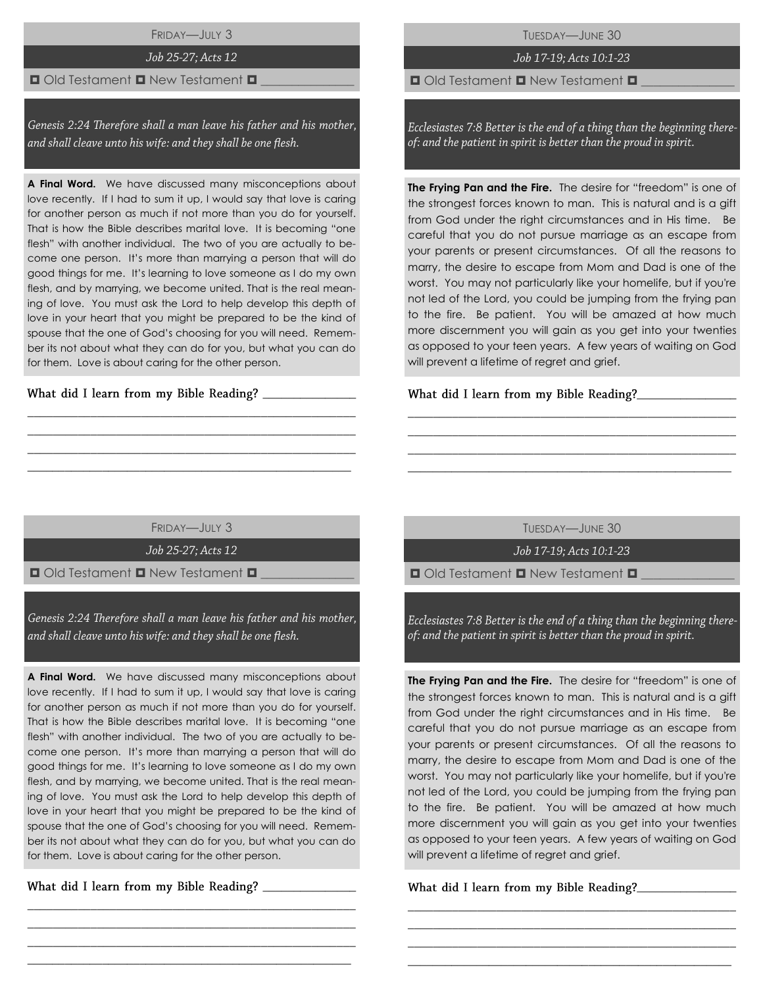FRIDAY—JULY 3

# Job 25-27; Acts 12

# $\blacksquare$  Old Testament  $\blacksquare$  New Testament  $\blacksquare$

Genesis 2:24 Therefore shall a man leave his father and his mother, and shall cleave unto his wife: and they shall be one flesh.

**A Final Word.** We have discussed many misconceptions about love recently. If I had to sum it up, I would say that love is caring for another person as much if not more than you do for yourself. That is how the Bible describes marital love. It is becoming "one flesh" with another individual. The two of you are actually to become one person. It's more than marrying a person that will do good things for me. It's learning to love someone as I do my own flesh, and by marrying, we become united. That is the real meaning of love. You must ask the Lord to help develop this depth of love in your heart that you might be prepared to be the kind of spouse that the one of God's choosing for you will need. Remember its not about what they can do for you, but what you can do for them. Love is about caring for the other person.

What did I learn from my Bible Reading?

TUESDAY—JUNE 30

# Job 17-19; Acts 10:1-23

 $\Box$  Old Testament  $\Box$  New Testament  $\Box$ 

Ecclesiastes 7:8 Better is the end of a thing than the beginning thereof: and the patient in spirit is better than the proud in spirit.

**The Frying Pan and the Fire.** The desire for "freedom" is one of the strongest forces known to man. This is natural and is a gift from God under the right circumstances and in His time. Be careful that you do not pursue marriage as an escape from your parents or present circumstances. Of all the reasons to marry, the desire to escape from Mom and Dad is one of the worst. You may not particularly like your homelife, but if you're not led of the Lord, you could be jumping from the frying pan to the fire. Be patient. You will be amazed at how much more discernment you will gain as you get into your twenties as opposed to your teen years. A few years of waiting on God will prevent a lifetime of regret and grief.

# What did I learn from my Bible Reading?\_\_\_

FRIDAY—JULY 3

\_\_\_\_\_\_\_\_\_\_\_\_\_\_\_\_\_\_\_\_\_\_\_\_\_\_\_\_\_\_\_\_\_\_\_\_\_\_\_\_\_\_\_\_\_\_\_\_\_\_\_\_ \_\_\_\_\_\_\_\_\_\_\_\_\_\_\_\_\_\_\_\_\_\_\_\_\_\_\_\_\_\_\_\_\_\_\_\_\_\_\_\_\_\_\_\_\_\_\_\_\_\_\_\_ \_\_\_\_\_\_\_\_\_\_\_\_\_\_\_\_\_\_\_\_\_\_\_\_\_\_\_\_\_\_\_\_\_\_\_\_\_\_\_\_\_\_\_\_\_\_\_\_\_\_\_\_  $\_$  , and the set of the set of the set of the set of the set of the set of the set of the set of the set of the set of the set of the set of the set of the set of the set of the set of the set of the set of the set of th

Job 25-27; Acts 12

 $\Box$  Old Testament  $\Box$  New Testament  $\Box$ 

Genesis 2:24 Therefore shall a man leave his father and his mother, and shall cleave unto his wife: and they shall be one flesh.

**A Final Word.** We have discussed many misconceptions about love recently. If I had to sum it up, I would say that love is caring for another person as much if not more than you do for yourself. That is how the Bible describes marital love. It is becoming "one flesh" with another individual. The two of you are actually to become one person. It's more than marrying a person that will do good things for me. It's learning to love someone as I do my own flesh, and by marrying, we become united. That is the real meaning of love. You must ask the Lord to help develop this depth of love in your heart that you might be prepared to be the kind of spouse that the one of God's choosing for you will need. Remember its not about what they can do for you, but what you can do for them. Love is about caring for the other person.

\_\_\_\_\_\_\_\_\_\_\_\_\_\_\_\_\_\_\_\_\_\_\_\_\_\_\_\_\_\_\_\_\_\_\_\_\_\_\_\_\_\_\_\_\_\_\_\_\_\_\_\_ \_\_\_\_\_\_\_\_\_\_\_\_\_\_\_\_\_\_\_\_\_\_\_\_\_\_\_\_\_\_\_\_\_\_\_\_\_\_\_\_\_\_\_\_\_\_\_\_\_\_\_\_ \_\_\_\_\_\_\_\_\_\_\_\_\_\_\_\_\_\_\_\_\_\_\_\_\_\_\_\_\_\_\_\_\_\_\_\_\_\_\_\_\_\_\_\_\_\_\_\_\_\_\_\_  $\_$  , and the set of the set of the set of the set of the set of the set of the set of the set of the set of the set of the set of the set of the set of the set of the set of the set of the set of the set of the set of th

\_\_\_\_\_\_\_\_\_\_\_\_\_\_\_

TUESDAY—JUNE 30

\_\_\_\_\_\_\_\_\_\_\_\_\_\_\_\_\_\_\_\_\_\_\_\_\_\_\_\_\_\_\_\_\_\_\_\_\_\_\_\_\_\_\_\_\_\_\_\_\_\_\_\_ \_\_\_\_\_\_\_\_\_\_\_\_\_\_\_\_\_\_\_\_\_\_\_\_\_\_\_\_\_\_\_\_\_\_\_\_\_\_\_\_\_\_\_\_\_\_\_\_\_\_\_\_ \_\_\_\_\_\_\_\_\_\_\_\_\_\_\_\_\_\_\_\_\_\_\_\_\_\_\_\_\_\_\_\_\_\_\_\_\_\_\_\_\_\_\_\_\_\_\_\_\_\_\_\_ \_\_\_\_\_\_\_\_\_\_\_\_\_\_\_\_\_\_\_\_\_\_\_\_\_\_\_\_\_\_\_\_\_\_\_\_\_\_\_\_\_\_\_\_\_\_\_\_\_\_\_\_

Job 17-19; Acts 10:1-23

 $\Box$  Old Testament  $\Box$  New Testament  $\Box$ 

Ecclesiastes 7:8 Better is the end of a thing than the beginning thereof: and the patient in spirit is better than the proud in spirit.

**The Frying Pan and the Fire.** The desire for "freedom" is one of the strongest forces known to man. This is natural and is a gift from God under the right circumstances and in His time. Be careful that you do not pursue marriage as an escape from your parents or present circumstances. Of all the reasons to marry, the desire to escape from Mom and Dad is one of the worst. You may not particularly like your homelife, but if you're not led of the Lord, you could be jumping from the frying pan to the fire. Be patient. You will be amazed at how much more discernment you will gain as you get into your twenties as opposed to your teen years. A few years of waiting on God will prevent a lifetime of regret and grief.

\_\_\_\_\_\_\_\_\_\_\_\_\_\_\_\_\_\_\_\_\_\_\_\_\_\_\_\_\_\_\_\_\_\_\_\_\_\_\_\_\_\_\_\_\_\_\_\_\_\_\_\_ \_\_\_\_\_\_\_\_\_\_\_\_\_\_\_\_\_\_\_\_\_\_\_\_\_\_\_\_\_\_\_\_\_\_\_\_\_\_\_\_\_\_\_\_\_\_\_\_\_\_\_\_ \_\_\_\_\_\_\_\_\_\_\_\_\_\_\_\_\_\_\_\_\_\_\_\_\_\_\_\_\_\_\_\_\_\_\_\_\_\_\_\_\_\_\_\_\_\_\_\_\_\_\_\_ \_\_\_\_\_\_\_\_\_\_\_\_\_\_\_\_\_\_\_\_\_\_\_\_\_\_\_\_\_\_\_\_\_\_\_\_\_\_\_\_\_\_\_\_\_\_\_\_\_\_\_\_

**\_**\_\_\_\_\_\_\_\_\_\_\_\_\_\_\_